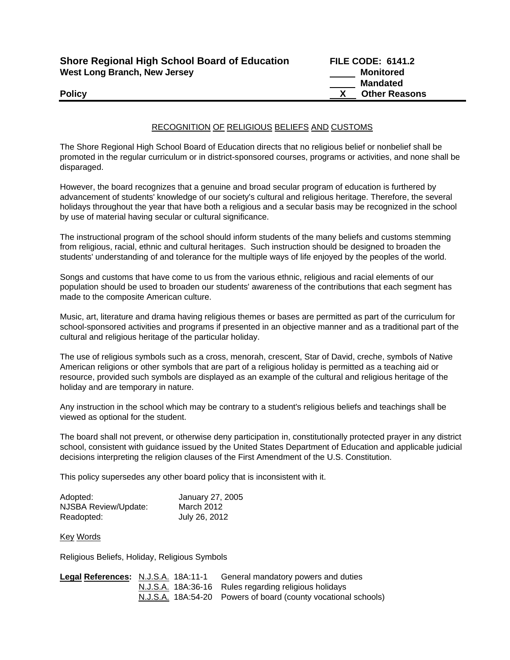| <b>Shore Regional High School Board of Education</b> |
|------------------------------------------------------|
| West Long Branch, New Jersey                         |

**FILE CODE: 6141.2 Monitored Mandated Policy CONSERVANT CONSERVANT CONSERVANT CONSERVANT CONSERVANT CONSERVANT CONSERVANT CONSERVANT CONSERVANT CONSERVANT CONSERVANT CONSERVANT CONSERVANT CONSERVANT CONSERVANT CONSERVANT CONSERVANT CONSERVANT CONSERVANT CON** 

## RECOGNITION OF RELIGIOUS BELIEFS AND CUSTOMS

The Shore Regional High School Board of Education directs that no religious belief or nonbelief shall be promoted in the regular curriculum or in district-sponsored courses, programs or activities, and none shall be disparaged.

However, the board recognizes that a genuine and broad secular program of education is furthered by advancement of students' knowledge of our society's cultural and religious heritage. Therefore, the several holidays throughout the year that have both a religious and a secular basis may be recognized in the school by use of material having secular or cultural significance.

The instructional program of the school should inform students of the many beliefs and customs stemming from religious, racial, ethnic and cultural heritages. Such instruction should be designed to broaden the students' understanding of and tolerance for the multiple ways of life enjoyed by the peoples of the world.

Songs and customs that have come to us from the various ethnic, religious and racial elements of our population should be used to broaden our students' awareness of the contributions that each segment has made to the composite American culture.

Music, art, literature and drama having religious themes or bases are permitted as part of the curriculum for school-sponsored activities and programs if presented in an objective manner and as a traditional part of the cultural and religious heritage of the particular holiday.

The use of religious symbols such as a cross, menorah, crescent, Star of David, creche, symbols of Native American religions or other symbols that are part of a religious holiday is permitted as a teaching aid or resource, provided such symbols are displayed as an example of the cultural and religious heritage of the holiday and are temporary in nature.

Any instruction in the school which may be contrary to a student's religious beliefs and teachings shall be viewed as optional for the student.

The board shall not prevent, or otherwise deny participation in, constitutionally protected prayer in any district school, consistent with guidance issued by the United States Department of Education and applicable judicial decisions interpreting the religion clauses of the First Amendment of the U.S. Constitution.

This policy supersedes any other board policy that is inconsistent with it.

| Adopted:             | January 27, 2005 |
|----------------------|------------------|
| NJSBA Review/Update: | March 2012       |
| Readopted:           | July 26, 2012    |

Key Words

Religious Beliefs, Holiday, Religious Symbols

| Legal References: N.J.S.A. 18A:11-1 |  | General mandatory powers and duties                            |
|-------------------------------------|--|----------------------------------------------------------------|
|                                     |  | N.J.S.A. 18A:36-16 Rules regarding religious holidays          |
|                                     |  | N.J.S.A. 18A:54-20 Powers of board (county vocational schools) |